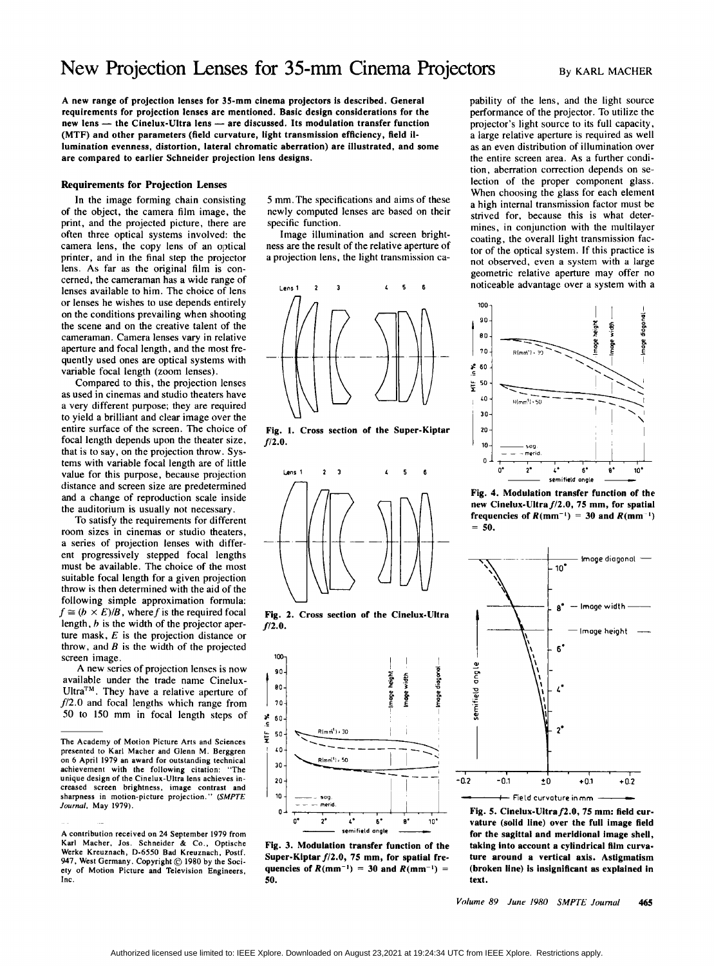# New Projection Lenses for **35-mm** Cinema Projectors

A new range of projection lenses for **35-mm** cinema projectors is described. General requirements for projection lenses are mentioned. Basic design considerations for the new lens - the Cinelux-Ultra lens - are discussed. Its modulation transfer function (MTF) and other parameters (field curvature, light transmission efficiency, field illumination evenness, distortion, lateral chromatic aberration) are illustrated, and some are compared to earlier Schneider projection lens designs.

# Requirements for Projection Lenses

In the image forming chain consisting of the object, the camera film image, the print, and the projected picture, there are often three optical systems involved: the camera lens, the copy lens of an optical printer, and in the final step the projector lens. As far **as** the original film is concerned, the cameraman has a wide range of lenses available to him. The choice of lens or lenses he wishes to use depends entirely on the conditions prevailing when shooting the scene and on the creative talent of the cameraman. Camera lenses vary in rclative aperture and focal length, and the most frequently used ones are optical systems with variable focal length (zoom lenses).

Compared to this, the projection lenses as used in cinemas and studio theaters have a very different purpose; they are required to yield a brilliant and clear image over the entire surface of the screen. The choice of focal length depends upon the theater size, that is to say, on the projection throw. Systems with variable focal length are of little value for this purpose, because projection distance and screen size are predetermined and a change of reproduction scale inside the auditorium is usually not necessary.

To satisfy the requirements for different room sizes in cinemas or studio theaters, a series of projection lenses with different progressively stepped focal lengths must be available. The choice of the most suitable focal length for a given projection throw is then determined with the aid of the following simple approximation formula:  $f \cong (b \times E)/B$ , where f is the required focal length,  $b$  is the width of the projector aperture mask, *E* is the projection distance or throw, and *B* is the width of the projected screen image.

A new series of projection lenses is now available under the trade name Cinelux-Ultra<sup>TM</sup>. They have a relative aperture of *f*/2.0 and focal lengths which range from 50 to 150 mm in focal length steps of 5 mm. The specifications and aims of these newly computed lenses are based on their specific function.

Image illumination and screen brightness are the result of the relative aperture of a projection lens, the light transmission ca-



Fig. **1. Cross** section of the Super-Kiptar *f12.0.* 







Fig. 3. Modulation transfer function of the Super-Kiptar  $f/2.0$ , 75 mm, for spatial frequencies of  $R(mm^{-1}) = 30$  and  $R(mm^{-1}) =$ 50.

pability of the lens, and the light source performance of the projector. To utilize the projector's light source to its full capacity, a large relative aperture is required as well **as** an even distribution of illumination over the entire screen area. **As** a further condition, aberration correction depends on selection of the proper component glass. When choosing the glass for each element a high internal transmission factor must be strived for, because this is what determines, in conjunction with the multilayer coating, the overall light transmission factor of the optical system. If this practice is not observed, even a system with a large geometric relative aperture may offer no noticeable advantage over a system with a



Fig. **4.** Modulation transfer function of the new Clnelux-Ultra *f/2.0,* 75 mm, for spatial frequencies of  $R(mm^{-1}) = 30$  and  $R(mm^{-1})$  $= 50.$ 



Fig. 5. Cinelux-Ultra $f2.0$ , 75 mm: field curvature (solid line) over the full image field for the sagittal and meridional image shell, taking into account a cylindrical film curvature around a vertical axis. Astigmatism (broken line) is insignificant **as** explained in text.

**The Academy of Motion Picture Arts and Sciences presented to Karl Macher and Glenn M. Berggren on 6 April 1979 an award for outstanding technical achievement with the following citation: "The unique design of the Cinelux-Ultra lens achieves increased screen brightness. image contrast and sharpness in motion-picture projection."** *(SMPTE Journul.* **May 1979).** 

**A contribution received on 24 September 1979 from Karl Macher. Jos. Schneider** & **Co., Optische Werke Kreuznach, D-6550 Bad Kreuznach, Postf. 947. West Germany. Copyright** @ **1980 by the Society of Motion Picture and Television Engineers, Inc.**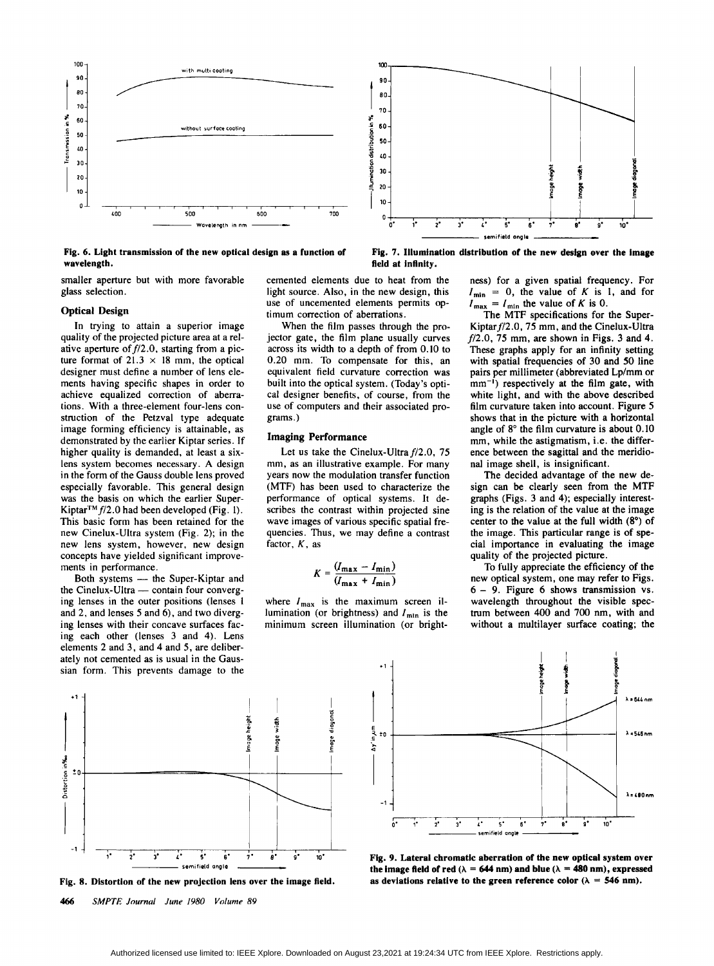

**Fig. 6. Light transmission of the new optical design as a function of wavelength.** 

smaller aperture but with more favorable glass selection.

## **Optical Design**

In trying to attain a superior image quality of the projected picture area at a relative aperture of  $f/2.0$ , starting from a picture format of  $21.3 \times 18$  mm, the optical designer must define a number of lens elements having specific shapes in order to achieve equalized correction of aberrations. With a three-element four-lens construction of the Petzval type adequate image forming efficiency is attainable, as demonstrated by the earlier Kiptar series. If higher quality is demanded, at least a sixlens system becomes necessary. A design in the form of the Gauss double lens proved especially favorable. This general design was the basis on which the earlier Super-Kiptar<sup>TM</sup>  $f/2.0$  had been developed (Fig. 1). This basic form has been retained for the new Cinelux-Ultra system (Fig. 2); in the new lens system, however, new design concepts have yielded significant improvements in performance. cepts have yielded significant improve-<br>hts in performance.<br>Both systems — the Super-Kiptar and<br>Ginalus Ultra contain four converse

ments in performance.<br>Both systems — the Super-Kiptar and<br>the Cinelux-Ultra — contain four converg-<br>incluses in the container formed. ing lenses in the outer positions (lenses **<sup>1</sup>** and 2, and lenses *5* and 6). and two diverging lenses with their concave surfaces facing each other (lenses 3 and **4).** Lens elements 2 and 3, and **4** and 5, are deliberately not cemented as is usual in the Gaussian form. This prevents damage to the cemented elements due to heat from the light source. **Also,** in the new design, this use of uncemented elements permits optimum correction of aberrations.

field at infinity.

When the film passes through the projector gate, the film plane usually curves across its width to a depth of from 0.10 to 0.20 mm. To compensate for this, an equivalent field curvature correction was built into the optical system. (Today's optical designer benefits, of course, from the use of computers and their associated programs.)

#### **Imaging Performance**

Let us take the Cinelux-Ultra f/2.0, 75 mm, as an illustrative example. For many years now the modulation transfer function (MTF) has been used to characterize the performance of optical systems. It describes the contrast within projected sine wave images of various specific spatial frequencies. Thus, we may define a contrast factor, *K,* as

$$
K = \frac{(I_{\max} - I_{\min})}{(I_{\max} + I_{\min})}
$$

where  $I_{\text{max}}$  is the maximum screen illumination (or brightness) and *I<sub>mln</sub>* is the minimum screen illumination (or brightness) for a given spatial frequency. For  $I_{\min} = 0$ , the value of *K* is 1, and for  $I_{\text{max}} = I_{\text{min}}$  the value of *K* is 0.

**Fig. 7. Illumination distribution of the new design over the image** 

The MTF specifications for the Super-Kiptar  $f/2.0$ , 75 mm, and the Cinelux-Ultra f72.0, **75** mm, are shown in Figs. 3 and **4.**  These graphs apply for an infinity setting with spatial frequencies of 30 and 50 line pairs per millimeter (abbreviated Lp/mm or mm<sup>-1</sup>) respectively at the film gate, with white light, and with the above described film curvature taken into account. Figure 5 shows that in the picture with a horizontal angle of **8"** the film curvature is about 0.10 mm, while the astigmatism, i.e. the difference between the sagittal and the meridional image shell, is insignificant.

The decided advantage of the new design can be clearly seen from the MTF graphs (Figs. 3 and **4);** especially interesting is the relation of the value at the image center to the value at the full width **(8")** of the image. This particular range is of special importance in evaluating the image quality of the projected picture.

To fully appreciate the efficiency of the new optical system, one may refer to Figs. <sup>6</sup>- 9. Figure **6** shows transmission vs. wavelength throughout the visible spectrum between 400 and 700 nm, with and without a multilayer surface coating; the



Fig. 8. Distortion of the new projection lens over the image field.

*466 SMPTE Journul June I980 Volume 89* 



**Fig. 9. Lateral chromatic aberration of the new optical system over**  the image field of red  $(\lambda = 644 \text{ nm})$  and blue  $(\lambda = 480 \text{ nm})$ , expressed as deviations relative to the green reference color  $(\lambda = 546 \text{ nm})$ .